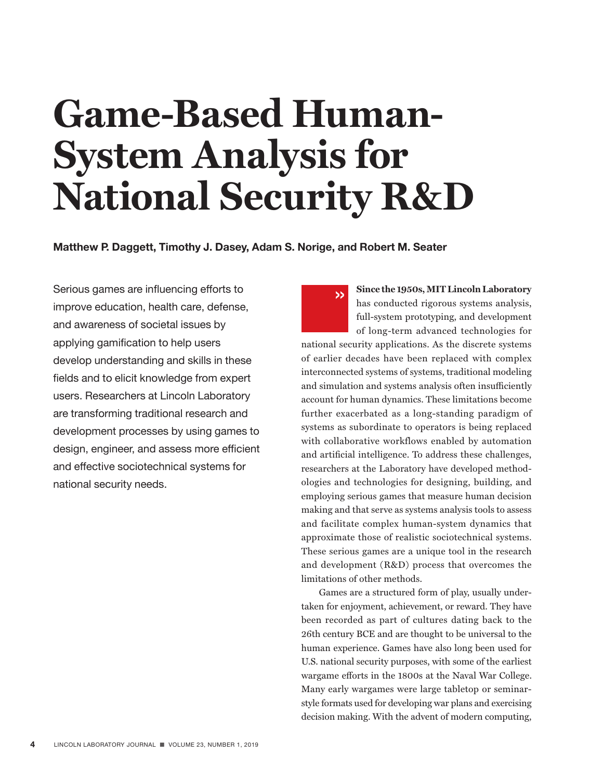# **Game-Based Human-System Analysis for National Security R&D**

**Matthew P. Daggett, Timothy J. Dasey, Adam S. Norige, and Robert M. Seater**

Serious games are influencing efforts to improve education, health care, defense, and awareness of societal issues by applying gamification to help users develop understanding and skills in these fields and to elicit knowledge from expert users. Researchers at Lincoln Laboratory are transforming traditional research and development processes by using games to design, engineer, and assess more efficient and effective sociotechnical systems for national security needs.

**Since the 1950s, MIT Lincoln Laboratory**  has conducted rigorous systems analysis, full-system prototyping, and development of long-term advanced technologies for national security applications. As the discrete systems of earlier decades have been replaced with complex interconnected systems of systems, traditional modeling and simulation and systems analysis often insufficiently account for human dynamics. These limitations become further exacerbated as a long-standing paradigm of systems as subordinate to operators is being replaced with collaborative workflows enabled by automation and artificial intelligence. To address these challenges, researchers at the Laboratory have developed methodologies and technologies for designing, building, and employing serious games that measure human decision making and that serve as systems analysis tools to assess and facilitate complex human-system dynamics that approximate those of realistic sociotechnical systems. These serious games are a unique tool in the research and development (R&D) process that overcomes the limitations of other methods. »

Games are a structured form of play, usually undertaken for enjoyment, achievement, or reward. They have been recorded as part of cultures dating back to the 26th century BCE and are thought to be universal to the human experience. Games have also long been used for U.S. national security purposes, with some of the earliest wargame efforts in the 1800s at the Naval War College. Many early wargames were large tabletop or seminarstyle formats used for developing war plans and exercising decision making. With the advent of modern computing,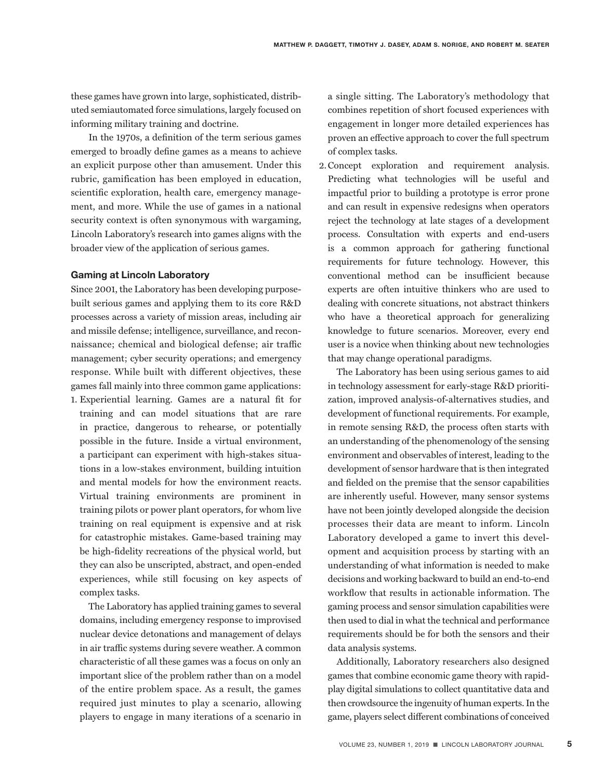these games have grown into large, sophisticated, distributed semiautomated force simulations, largely focused on informing military training and doctrine.

In the 1970s, a definition of the term serious games emerged to broadly define games as a means to achieve an explicit purpose other than amusement. Under this rubric, gamification has been employed in education, scientific exploration, health care, emergency management, and more. While the use of games in a national security context is often synonymous with wargaming, Lincoln Laboratory's research into games aligns with the broader view of the application of serious games.

## **Gaming at Lincoln Laboratory**

Since 2001, the Laboratory has been developing purposebuilt serious games and applying them to its core R&D processes across a variety of mission areas, including air and missile defense; intelligence, surveillance, and reconnaissance; chemical and biological defense; air traffic management; cyber security operations; and emergency response. While built with different objectives, these games fall mainly into three common game applications: 1. Experiential learning. Games are a natural fit for training and can model situations that are rare in practice, dangerous to rehearse, or potentially possible in the future. Inside a virtual environment, a participant can experiment with high-stakes situations in a low-stakes environment, building intuition and mental models for how the environment reacts. Virtual training environments are prominent in training pilots or power plant operators, for whom live training on real equipment is expensive and at risk for catastrophic mistakes. Game-based training may be high-fidelity recreations of the physical world, but they can also be unscripted, abstract, and open-ended experiences, while still focusing on key aspects of complex tasks.

The Laboratory has applied training games to several domains, including emergency response to improvised nuclear device detonations and management of delays in air traffic systems during severe weather. A common characteristic of all these games was a focus on only an important slice of the problem rather than on a model of the entire problem space. As a result, the games required just minutes to play a scenario, allowing players to engage in many iterations of a scenario in

a single sitting. The Laboratory's methodology that combines repetition of short focused experiences with engagement in longer more detailed experiences has proven an effective approach to cover the full spectrum of complex tasks.

2.Concept exploration and requirement analysis. Predicting what technologies will be useful and impactful prior to building a prototype is error prone and can result in expensive redesigns when operators reject the technology at late stages of a development process. Consultation with experts and end-users is a common approach for gathering functional requirements for future technology. However, this conventional method can be insufficient because experts are often intuitive thinkers who are used to dealing with concrete situations, not abstract thinkers who have a theoretical approach for generalizing knowledge to future scenarios. Moreover, every end user is a novice when thinking about new technologies that may change operational paradigms.

The Laboratory has been using serious games to aid in technology assessment for early-stage R&D prioritization, improved analysis-of-alternatives studies, and development of functional requirements. For example, in remote sensing R&D, the process often starts with an understanding of the phenomenology of the sensing environment and observables of interest, leading to the development of sensor hardware that is then integrated and fielded on the premise that the sensor capabilities are inherently useful. However, many sensor systems have not been jointly developed alongside the decision processes their data are meant to inform. Lincoln Laboratory developed a game to invert this development and acquisition process by starting with an understanding of what information is needed to make decisions and working backward to build an end-to-end workflow that results in actionable information. The gaming process and sensor simulation capabilities were then used to dial in what the technical and performance requirements should be for both the sensors and their data analysis systems.

Additionally, Laboratory researchers also designed games that combine economic game theory with rapidplay digital simulations to collect quantitative data and then crowdsource the ingenuity of human experts. In the game, players select different combinations of conceived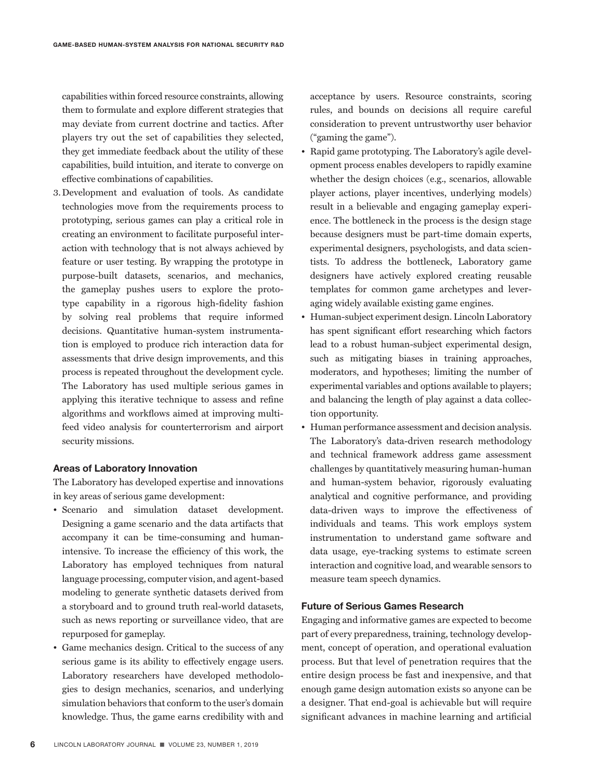capabilities within forced resource constraints, allowing them to formulate and explore different strategies that may deviate from current doctrine and tactics. After players try out the set of capabilities they selected, they get immediate feedback about the utility of these capabilities, build intuition, and iterate to converge on effective combinations of capabilities.

3.Development and evaluation of tools. As candidate technologies move from the requirements process to prototyping, serious games can play a critical role in creating an environment to facilitate purposeful interaction with technology that is not always achieved by feature or user testing. By wrapping the prototype in purpose-built datasets, scenarios, and mechanics, the gameplay pushes users to explore the prototype capability in a rigorous high-fidelity fashion by solving real problems that require informed decisions. Quantitative human-system instrumentation is employed to produce rich interaction data for assessments that drive design improvements, and this process is repeated throughout the development cycle. The Laboratory has used multiple serious games in applying this iterative technique to assess and refine algorithms and workflows aimed at improving multifeed video analysis for counterterrorism and airport security missions.

### **Areas of Laboratory Innovation**

The Laboratory has developed expertise and innovations in key areas of serious game development:

- Scenario and simulation dataset development. Designing a game scenario and the data artifacts that accompany it can be time-consuming and humanintensive. To increase the efficiency of this work, the Laboratory has employed techniques from natural language processing, computer vision, and agent-based modeling to generate synthetic datasets derived from a storyboard and to ground truth real-world datasets, such as news reporting or surveillance video, that are repurposed for gameplay.
- Game mechanics design. Critical to the success of any serious game is its ability to effectively engage users. Laboratory researchers have developed methodologies to design mechanics, scenarios, and underlying simulation behaviors that conform to the user's domain knowledge. Thus, the game earns credibility with and

acceptance by users. Resource constraints, scoring rules, and bounds on decisions all require careful consideration to prevent untrustworthy user behavior ("gaming the game").

- Rapid game prototyping. The Laboratory's agile development process enables developers to rapidly examine whether the design choices (e.g., scenarios, allowable player actions, player incentives, underlying models) result in a believable and engaging gameplay experience. The bottleneck in the process is the design stage because designers must be part-time domain experts, experimental designers, psychologists, and data scientists. To address the bottleneck, Laboratory game designers have actively explored creating reusable templates for common game archetypes and leveraging widely available existing game engines.
- Human-subject experiment design. Lincoln Laboratory has spent significant effort researching which factors lead to a robust human-subject experimental design, such as mitigating biases in training approaches, moderators, and hypotheses; limiting the number of experimental variables and options available to players; and balancing the length of play against a data collection opportunity.
- Human performance assessment and decision analysis. The Laboratory's data-driven research methodology and technical framework address game assessment challenges by quantitatively measuring human-human and human-system behavior, rigorously evaluating analytical and cognitive performance, and providing data-driven ways to improve the effectiveness of individuals and teams. This work employs system instrumentation to understand game software and data usage, eye-tracking systems to estimate screen interaction and cognitive load, and wearable sensors to measure team speech dynamics.

### **Future of Serious Games Research**

Engaging and informative games are expected to become part of every preparedness, training, technology development, concept of operation, and operational evaluation process. But that level of penetration requires that the entire design process be fast and inexpensive, and that enough game design automation exists so anyone can be a designer. That end-goal is achievable but will require significant advances in machine learning and artificial